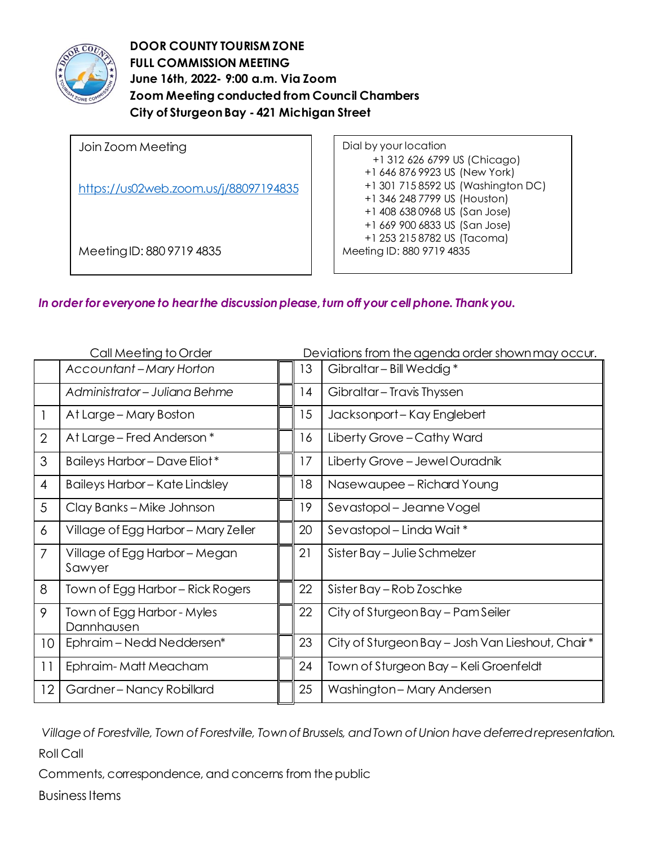

**DOOR COUNTY TOURISM ZONE FULL COMMISSION MEETING June 16th, 2022- 9:00 a.m. Via Zoom Zoom Meeting conducted from Council Chambers City of Sturgeon Bay - 421 Michigan Street** 

| Join Zoom Meeting                     | Dial by your location              |
|---------------------------------------|------------------------------------|
|                                       | +1 312 626 6799 US (Chicago)       |
| https://us02web.zoom.us/j/88097194835 | +1 646 876 9923 US (New York)      |
|                                       | +1 301 715 8592 US (Washington DC) |
|                                       | +1 346 248 7799 US (Houston)       |
|                                       | +1 408 638 0968 US (San Jose)      |
|                                       | +1 669 900 6833 US (San Jose)      |
|                                       | +1 253 215 8782 US (Tacoma)        |
| Meeting ID: 880 9719 4835             | Meeting ID: 880 9719 4835          |
|                                       |                                    |

*In order for everyone to hear the discussion please, turn off your cell phone. Thank you.*

| Call Meeting to Order |                                          | Deviations from the agenda order shown may occur. |                                                  |
|-----------------------|------------------------------------------|---------------------------------------------------|--------------------------------------------------|
|                       | <b>Accountant-Mary Horton</b>            | 13                                                | Gibraltar - Bill Weddig*                         |
|                       | Administrator - Juliana Behme            | 4                                                 | Gibraltar - Travis Thyssen                       |
|                       | At Large - Mary Boston                   | 15                                                | Jacksonport-Kay Englebert                        |
| $\overline{2}$        | At Large - Fred Anderson *               | 16                                                | Liberty Grove - Cathy Ward                       |
| 3                     | Baileys Harbor - Dave Eliot*             | 17                                                | Liberty Grove - Jewel Ouradnik                   |
| 4                     | <b>Baileys Harbor - Kate Lindsley</b>    | 18                                                | Nasewaupee – Richard Young                       |
| 5                     | Clay Banks-Mike Johnson                  | 19                                                | Sevastopol – Jeanne Vogel                        |
| 6                     | Village of Egg Harbor - Mary Zeller      | 20                                                | Sevastopol – Linda Wait*                         |
| 7                     | Village of Egg Harbor - Megan<br>Sawyer  | 21                                                | Sister Bay - Julie Schmelzer                     |
| 8                     | Town of Egg Harbor – Rick Rogers         | 22                                                | Sister Bay – Rob Zoschke                         |
| 9                     | Town of Egg Harbor - Myles<br>Dannhausen | 22                                                | City of Sturgeon Bay – Pam Seiler                |
| 10                    | Ephraim - Nedd Neddersen*                | 23                                                | City of Sturgeon Bay - Josh Van Lieshout, Chair* |
| 11                    | Ephraim-Matt Meacham                     | 24                                                | Town of Sturgeon Bay – Keli Groenfeldt           |
| 12                    | Gardner-Nancy Robillard                  | 25                                                | Washington-Mary Andersen                         |

*Village of Forestville, Town of Forestville, Town of Brussels, and Town of Union have deferred representation.* Roll Call

Comments, correspondence, and concerns from the public

Business Items